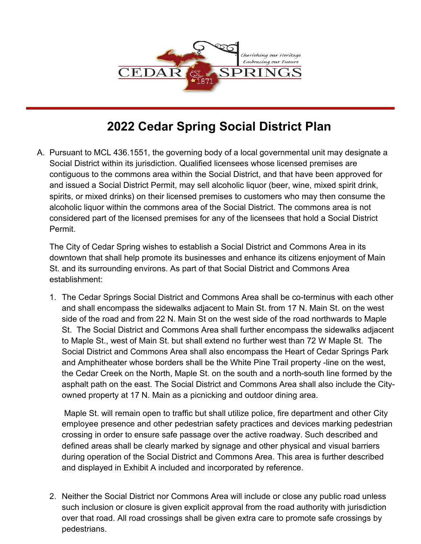

# **2022 Cedar Spring Social District Plan**

A. Pursuant to MCL 436.1551, the governing body of a local governmental unit may designate a Social District within its jurisdiction. Qualified licensees whose licensed premises are contiguous to the commons area within the Social District, and that have been approved for and issued a Social District Permit, may sell alcoholic liquor (beer, wine, mixed spirit drink, spirits, or mixed drinks) on their licensed premises to customers who may then consume the alcoholic liquor within the commons area of the Social District. The commons area is not considered part of the licensed premises for any of the licensees that hold a Social District Permit.

The City of Cedar Spring wishes to establish a Social District and Commons Area in its downtown that shall help promote its businesses and enhance its citizens enjoyment of Main St. and its surrounding environs. As part of that Social District and Commons Area establishment:

1. The Cedar Springs Social District and Commons Area shall be co-terminus with each other and shall encompass the sidewalks adjacent to Main St. from 17 N. Main St. on the west side of the road and from 22 N. Main St on the west side of the road northwards to Maple St. The Social District and Commons Area shall further encompass the sidewalks adjacent to Maple St., west of Main St. but shall extend no further west than 72 W Maple St. The Social District and Commons Area shall also encompass the Heart of Cedar Springs Park and Amphitheater whose borders shall be the White Pine Trail property -line on the west, the Cedar Creek on the North, Maple St. on the south and a north-south line formed by the asphalt path on the east. The Social District and Commons Area shall also include the Cityowned property at 17 N. Main as a picnicking and outdoor dining area.

Maple St. will remain open to traffic but shall utilize police, fire department and other City employee presence and other pedestrian safety practices and devices marking pedestrian crossing in order to ensure safe passage over the active roadway. Such described and defined areas shall be clearly marked by signage and other physical and visual barriers during operation of the Social District and Commons Area. This area is further described and displayed in Exhibit A included and incorporated by reference.

2. Neither the Social District nor Commons Area will include or close any public road unless such inclusion or closure is given explicit approval from the road authority with jurisdiction over that road. All road crossings shall be given extra care to promote safe crossings by pedestrians.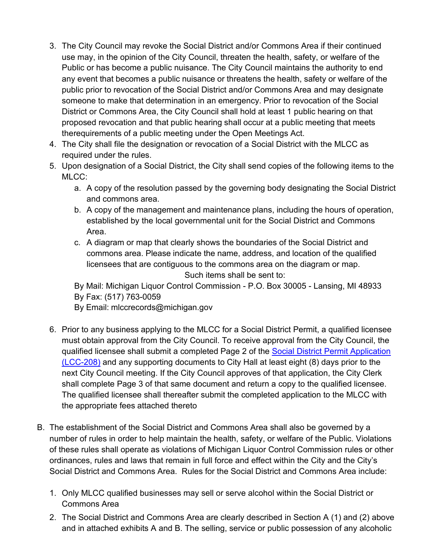- 3. The City Council may revoke the Social District and/or Commons Area if their continued use may, in the opinion of the City Council, threaten the health, safety, or welfare of the Public or has become a public nuisance. The City Council maintains the authority to end any event that becomes a public nuisance or threatens the health, safety or welfare of the public prior to revocation of the Social District and/or Commons Area and may designate someone to make that determination in an emergency. Prior to revocation of the Social District or Commons Area, the City Council shall hold at least 1 public hearing on that proposed revocation and that public hearing shall occur at a public meeting that meets therequirements of a public meeting under the Open Meetings Act.
- 4. The City shall file the designation or revocation of a Social District with the MLCC as required under the rules.
- 5. Upon designation of a Social District, the City shall send copies of the following items to the MLCC:
	- a. A copy of the resolution passed by the governing body designating the Social District and commons area.
	- b. A copy of the management and maintenance plans, including the hours of operation, established by the local governmental unit for the Social District and Commons Area.
	- c. A diagram or map that clearly shows the boundaries of the Social District and commons area. Please indicate the name, address, and location of the qualified licensees that are contiguous to the commons area on the diagram or map. Such items shall be sent to:

By Mail: Michigan Liquor Control Commission - P.O. Box 30005 - Lansing, MI 48933 By Fax: (517) 763-0059

- By Email: [mlccrecords@michigan.gov](mailto:mlccrecords@michigan.gov)
- 6. Prior to any business applying to the MLCC for a Social District Permit, a qualified licensee must obtain approval from the City Council. To receive approval from the City Council, the qualified licensee shall submit a completed Page 2 of the [Social District Permit Application](https://www.michigan.gov/documents/lara/LCC208_695497_7.pdf) [\(LCC-208\)](https://www.michigan.gov/documents/lara/LCC208_695497_7.pdf) and any supporting documents to City Hall at least eight (8) days prior to the next City Council meeting. If the City Council approves of that application, the City Clerk shall complete Page 3 of that same document and return a copy to the qualified licensee. The qualified licensee shall thereafter submit the completed application to the MLCC with the appropriate fees attached thereto
- B. The establishment of the Social District and Commons Area shall also be governed by a number of rules in order to help maintain the health, safety, or welfare of the Public. Violations of these rules shall operate as violations of Michigan Liquor Control Commission rules or other ordinances, rules and laws that remain in full force and effect within the City and the City's Social District and Commons Area. Rules for the Social District and Commons Area include:
	- 1. Only MLCC qualified businesses may sell or serve alcohol within the Social District or Commons Area
	- 2. The Social District and Commons Area are clearly described in Section A (1) and (2) above and in attached exhibits A and B. The selling, service or public possession of any alcoholic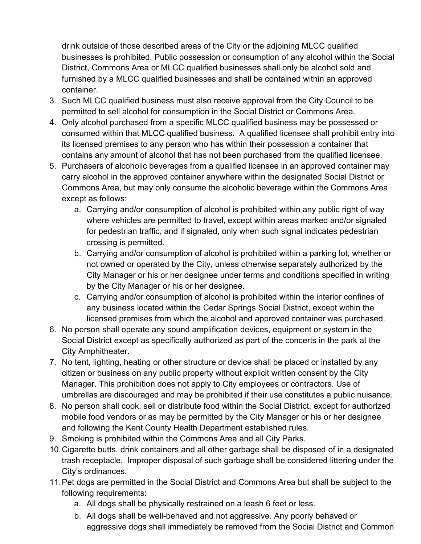drink outside of those described areas of the City or the adjoining MLCC qualified businesses is prohibited. Public possession or consumption of any alcohol within the Social District, Commons Area or MLCC qualified businesses shall only be alcohol sold and furnished by a MLCC qualified businesses and shall be contained within an approved container.

- 3. Such MLCC qualified business must also receive approval from the City Council to be permitted to sell alcohol for consumption in the Social District or Commons Area.
- 4. Only alcohol purchased from a specific MLCC qualified business may be possessed or consumed within that MLCC qualified business. A qualified licensee shall prohibit entry into its licensed premises to any person who has within their possession a container that contains any amount of alcohol that has not been purchased from the qualified licensee.
- 5. Purchasers of alcoholic beverages from a qualified licensee in an approved container may carry alcohol in the approved container anywhere within the designated Social District or Commons Area, but may only consume the alcoholic beverage within the Commons Area except as follows:
	- a. Carrying and/or consumption of alcohol is prohibited within any public right of way where vehicles are permitted to travel, except within areas marked and/or signaled for pedestrian traffic, and if signaled, only when such signal indicates pedestrian crossing is permitted.
	- b. Carrying and/or consumption of alcohol is prohibited within a parking lot, whether or not owned or operated by the City, unless otherwise separately authorized by the City Manager or his or her designee under terms and conditions specified in writing by the City Manager or his or her designee.
	- c. Carrying and/or consumption of alcohol is prohibited within the interior confines of any business located within the Cedar Springs Social District, except within the licensed premises from which the alcohol and approved container was purchased.
- 6. No person shall operate any sound amplification devices, equipment or system in the Social District except as specifically authorized as part of the concerts in the park at the City Amphitheater.
- 7. No tent, lighting, heating or other structure or device shall be placed or installed by any citizen or business on any public property without explicit written consent by the City Manager. This prohibition does not apply to City employees or contractors. Use of umbrellas are discouraged and may be prohibited if their use constitutes a public nuisance.
- 8. No person shall cook, sell or distribute food within the Social District, except for authorized mobile food vendors or as may be permitted by the City Manager or his or her designee and following the Kent County Health Department established rules.
- 9. Smoking is prohibited within the Commons Area and all City Parks.
- 10.Cigarette butts, drink containers and all other garbage shall be disposed of in a designated trash receptacle. Improper disposal of such garbage shall be considered littering under the City's ordinances.
- 11.Pet dogs are permitted in the Social District and Commons Area but shall be subject to the following requirements:
	- a. All dogs shall be physically restrained on a leash 6 feet or less.
	- b. All dogs shall be well-behaved and not aggressive. Any poorly behaved or aggressive dogs shall immediately be removed from the Social District and Common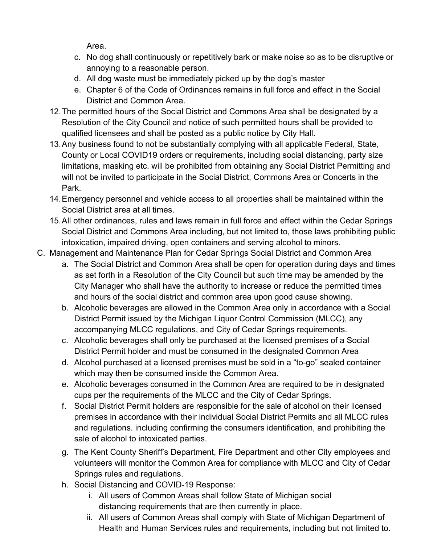Area.

- c. No dog shall continuously or repetitively bark or make noise so as to be disruptive or annoying to a reasonable person.
- d. All dog waste must be immediately picked up by the dog's master
- e. Chapter 6 of the Code of Ordinances remains in full force and effect in the Social District and Common Area.
- 12.The permitted hours of the Social District and Commons Area shall be designated by a Resolution of the City Council and notice of such permitted hours shall be provided to qualified licensees and shall be posted as a public notice by City Hall.
- 13.Any business found to not be substantially complying with all applicable Federal, State, County or Local COVID19 orders or requirements, including social distancing, party size limitations, masking etc. will be prohibited from obtaining any Social District Permitting and will not be invited to participate in the Social District, Commons Area or Concerts in the Park.
- 14.Emergency personnel and vehicle access to all properties shall be maintained within the Social District area at all times.
- 15.All other ordinances, rules and laws remain in full force and effect within the Cedar Springs Social District and Commons Area including, but not limited to, those laws prohibiting public intoxication, impaired driving, open containers and serving alcohol to minors.
- C. Management and Maintenance Plan for Cedar Springs Social District and Common Area
	- a. The Social District and Common Area shall be open for operation during days and times as set forth in a Resolution of the City Council but such time may be amended by the City Manager who shall have the authority to increase or reduce the permitted times and hours of the social district and common area upon good cause showing.
	- b. Alcoholic beverages are allowed in the Common Area only in accordance with a Social District Permit issued by the Michigan Liquor Control Commission (MLCC), any accompanying MLCC regulations, and City of Cedar Springs requirements.
	- c. Alcoholic beverages shall only be purchased at the licensed premises of a Social District Permit holder and must be consumed in the designated Common Area
	- d. Alcohol purchased at a licensed premises must be sold in a "to-go" sealed container which may then be consumed inside the Common Area.
	- e. Alcoholic beverages consumed in the Common Area are required to be in designated cups per the requirements of the MLCC and the City of Cedar Springs.
	- f. Social District Permit holders are responsible for the sale of alcohol on their licensed premises in accordance with their individual Social District Permits and all MLCC rules and regulations. including confirming the consumers identification, and prohibiting the sale of alcohol to intoxicated parties.
	- g. The Kent County Sheriff's Department, Fire Department and other City employees and volunteers will monitor the Common Area for compliance with MLCC and City of Cedar Springs rules and regulations.
	- h. Social Distancing and COVID-19 Response:
		- i. All users of Common Areas shall follow State of Michigan social distancing requirements that are then currently in place.
		- ii. All users of Common Areas shall comply with State of Michigan Department of Health and Human Services rules and requirements, including but not limited to.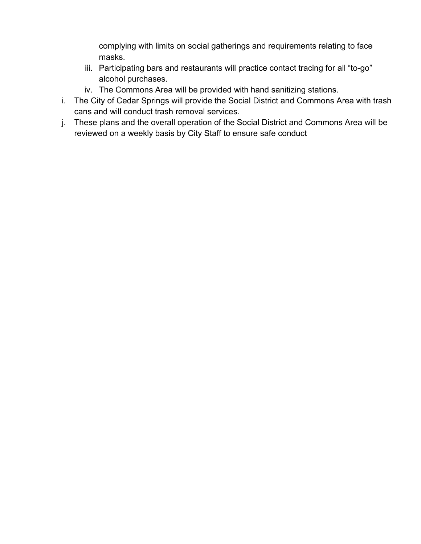complying with limits on social gatherings and requirements relating to face masks.

- iii. Participating bars and restaurants will practice contact tracing for all "to-go" alcohol purchases.
- iv. The Commons Area will be provided with hand sanitizing stations.
- i. The City of Cedar Springs will provide the Social District and Commons Area with trash cans and will conduct trash removal services.
- j. These plans and the overall operation of the Social District and Commons Area will be reviewed on a weekly basis by City Staff to ensure safe conduct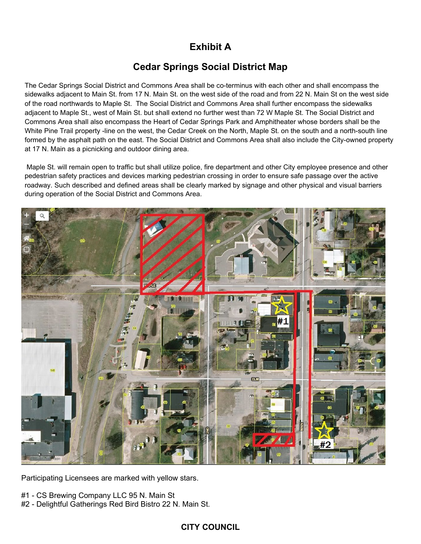# **Exhibit A**

# **Cedar Springs Social District Map**

The Cedar Springs Social District and Commons Area shall be co-terminus with each other and shall encompass the sidewalks adjacent to Main St. from 17 N. Main St. on the west side of the road and from 22 N. Main St on the west side of the road northwards to Maple St. The Social District and Commons Area shall further encompass the sidewalks adjacent to Maple St., west of Main St. but shall extend no further west than 72 W Maple St. The Social District and Commons Area shall also encompass the Heart of Cedar Springs Park and Amphitheater whose borders shall be the White Pine Trail property -line on the west, the Cedar Creek on the North, Maple St. on the south and a north-south line formed by the asphalt path on the east. The Social District and Commons Area shall also include the City-owned property at 17 N. Main as a picnicking and outdoor dining area.

Maple St. will remain open to traffic but shall utilize police, fire department and other City employee presence and other pedestrian safety practices and devices marking pedestrian crossing in order to ensure safe passage over the active roadway. Such described and defined areas shall be clearly marked by signage and other physical and visual barriers during operation of the Social District and Commons Area.



Participating Licensees are marked with yellow stars.

- #1 CS Brewing Company LLC 95 N. Main St
- #2 Delightful Gatherings Red Bird Bistro 22 N. Main St.

### **CITY COUNCIL**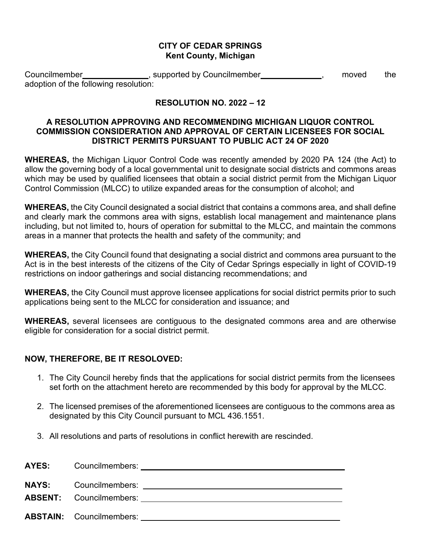#### **CITY OF CEDAR SPRINGS Kent County, Michigan**

Councilmember **Councillenge Councillenge Councillenge Council**, moved the adoption of the following resolution:

## **RESOLUTION NO. 2022 – 12**

#### **A RESOLUTION APPROVING AND RECOMMENDING MICHIGAN LIQUOR CONTROL COMMISSION CONSIDERATION AND APPROVAL OF CERTAIN LICENSEES FOR SOCIAL DISTRICT PERMITS PURSUANT TO PUBLIC ACT 24 OF 2020**

**WHEREAS,** the Michigan Liquor Control Code was recently amended by 2020 PA 124 (the Act) to allow the governing body of a local governmental unit to designate social districts and commons areas which may be used by qualified licensees that obtain a social district permit from the Michigan Liquor Control Commission (MLCC) to utilize expanded areas for the consumption of alcohol; and

**WHEREAS,** the City Council designated a social district that contains a commons area, and shall define and clearly mark the commons area with signs, establish local management and maintenance plans including, but not limited to, hours of operation for submittal to the MLCC, and maintain the commons areas in a manner that protects the health and safety of the community; and

**WHEREAS,** the City Council found that designating a social district and commons area pursuant to the Act is in the best interests of the citizens of the City of Cedar Springs especially in light of COVID-19 restrictions on indoor gatherings and social distancing recommendations; and

**WHEREAS,** the City Council must approve licensee applications for social district permits prior to such applications being sent to the MLCC for consideration and issuance; and

**WHEREAS,** several licensees are contiguous to the designated commons area and are otherwise eligible for consideration for a social district permit.

### **NOW, THEREFORE, BE IT RESOLOVED:**

- 1. The City Council hereby finds that the applications for social district permits from the licensees set forth on the attachment hereto are recommended by this body for approval by the MLCC.
- 2. The licensed premises of the aforementioned licensees are contiguous to the commons area as designated by this City Council pursuant to MCL 436.1551.
- 3. All resolutions and parts of resolutions in conflict herewith are rescinded.

| AYES: Councilmembers: 2000 Councilmembers: 2000 Councilmembers: |
|-----------------------------------------------------------------|
| <b>NAYS:</b> Councilmembers:                                    |
|                                                                 |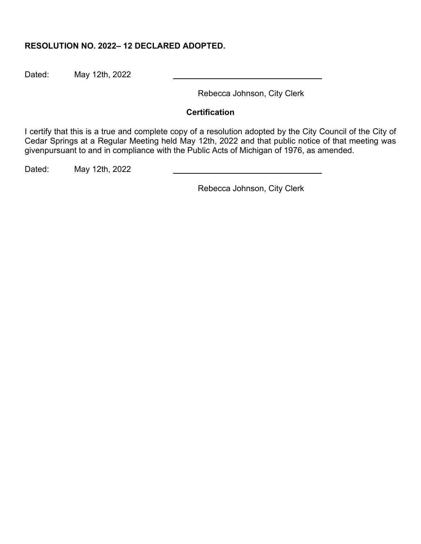#### **RESOLUTION NO. 2022– 12 DECLARED ADOPTED.**

Dated: May 12th, 2022

Rebecca Johnson, City Clerk

#### **Certification**

I certify that this is a true and complete copy of a resolution adopted by the City Council of the City of Cedar Springs at a Regular Meeting held May 12th, 2022 and that public notice of that meeting was givenpursuant to and in compliance with the Public Acts of Michigan of 1976, as amended.

Dated: May 12th, 2022

Rebecca Johnson, City Clerk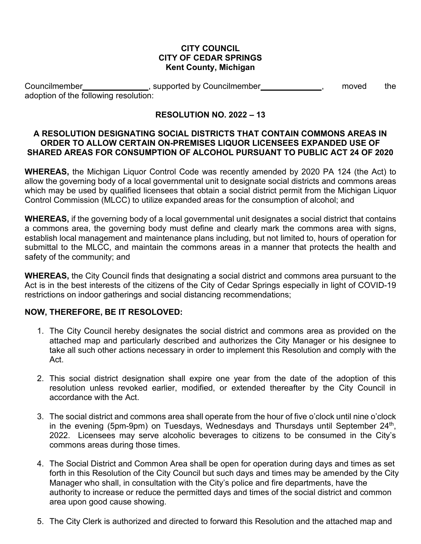#### **CITY COUNCIL CITY OF CEDAR SPRINGS Kent County, Michigan**

Councilmember **Councillengle Figure 1**, supported by Councilmember **Councillengle 4**, moved the adoption of the following resolution:

## **RESOLUTION NO. 2022 – 13**

#### **A RESOLUTION DESIGNATING SOCIAL DISTRICTS THAT CONTAIN COMMONS AREAS IN ORDER TO ALLOW CERTAIN ON-PREMISES LIQUOR LICENSEES EXPANDED USE OF SHARED AREAS FOR CONSUMPTION OF ALCOHOL PURSUANT TO PUBLIC ACT 24 OF 2020**

**WHEREAS,** the Michigan Liquor Control Code was recently amended by 2020 PA 124 (the Act) to allow the governing body of a local governmental unit to designate social districts and commons areas which may be used by qualified licensees that obtain a social district permit from the Michigan Liquor Control Commission (MLCC) to utilize expanded areas for the consumption of alcohol; and

**WHEREAS,** if the governing body of a local governmental unit designates a social district that contains a commons area, the governing body must define and clearly mark the commons area with signs, establish local management and maintenance plans including, but not limited to, hours of operation for submittal to the MLCC, and maintain the commons areas in a manner that protects the health and safety of the community; and

**WHEREAS,** the City Council finds that designating a social district and commons area pursuant to the Act is in the best interests of the citizens of the City of Cedar Springs especially in light of COVID-19 restrictions on indoor gatherings and social distancing recommendations;

### **NOW, THEREFORE, BE IT RESOLOVED:**

- 1. The City Council hereby designates the social district and commons area as provided on the attached map and particularly described and authorizes the City Manager or his designee to take all such other actions necessary in order to implement this Resolution and comply with the Act.
- 2. This social district designation shall expire one year from the date of the adoption of this resolution unless revoked earlier, modified, or extended thereafter by the City Council in accordance with the Act.
- 3. The social district and commons area shall operate from the hour of five o'clock until nine o'clock in the evening (5pm-9pm) on Tuesdays, Wednesdays and Thursdays until September 24<sup>th</sup>, 2022. Licensees may serve alcoholic beverages to citizens to be consumed in the City's commons areas during those times.
- 4. The Social District and Common Area shall be open for operation during days and times as set forth in this Resolution of the City Council but such days and times may be amended by the City Manager who shall, in consultation with the City's police and fire departments, have the authority to increase or reduce the permitted days and times of the social district and common area upon good cause showing.
- 5. The City Clerk is authorized and directed to forward this Resolution and the attached map and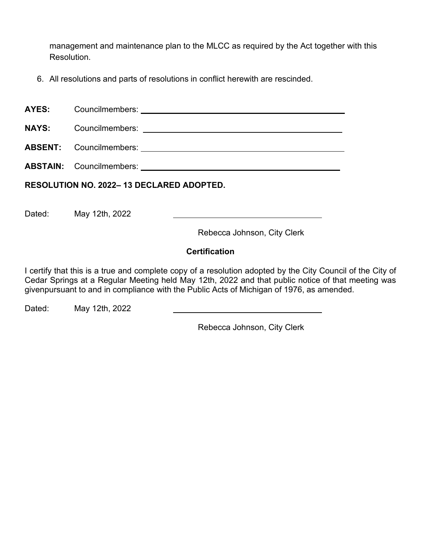management and maintenance plan to the MLCC as required by the Act together with this Resolution.

6. All resolutions and parts of resolutions in conflict herewith are rescinded.

| <b>AYES:</b><br>Councilmembers: |  |
|---------------------------------|--|
|---------------------------------|--|

**NAYS:** Councilmembers:

**ABSENT:** Councilmembers:

**ABSTAIN:** Councilmembers:

**RESOLUTION NO. 2022– 13 DECLARED ADOPTED.**

Dated: May 12th, 2022

Rebecca Johnson, City Clerk

# **Certification**

I certify that this is a true and complete copy of a resolution adopted by the City Council of the City of Cedar Springs at a Regular Meeting held May 12th, 2022 and that public notice of that meeting was givenpursuant to and in compliance with the Public Acts of Michigan of 1976, as amended.

Dated: May 12th, 2022

Rebecca Johnson, City Clerk